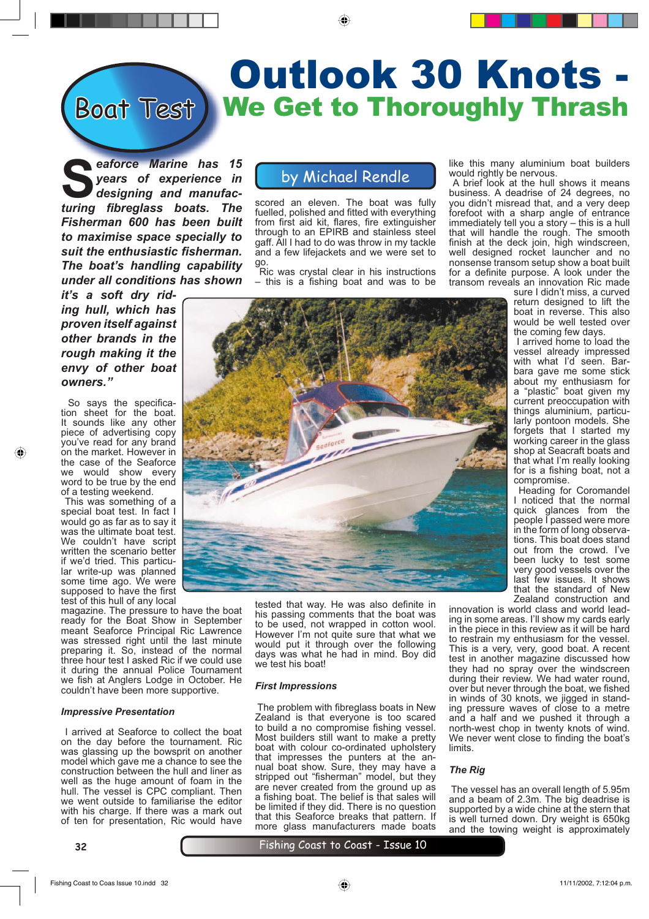# Boat Test) We Get to Thoroughly Thrash Outlook 30 Knots -

**S***eaforce Marine has 15 years of experience in designing and manufac***turing fibreglass boats. The** *Fisherman 600 has been built to maximise space specially to suit the enthusiastic fi sherman. The boat's handling capability under all conditions has shown* 

*it's a soft dry riding hull, which has proven itself against other brands in the rough making it the envy of other boat owners."*

So savs the specification sheet for the boat. It sounds like any other piece of advertising copy you've read for any brand on the market. However in the case of the Seaforce we would show every word to be true by the end of a testing weekend.

 This was something of a special boat test. In fact I would go as far as to say it was the ultimate boat test. We couldn't have script written the scenario better if we'd tried. This particular write-up was planned some time ago. We were supposed to have the first test of this hull of any local

magazine. The pressure to have the boat ready for the Boat Show in September meant Seaforce Principal Ric Lawrence was stressed right until the last minute preparing it. So, instead of the normal three hour test I asked Ric if we could use it during the annual Police Tournament we fish at Anglers Lodge in October. He couldn't have been more supportive.

#### *Impressive Presentation*

 I arrived at Seaforce to collect the boat on the day before the tournament. Ric was glassing up the bowsprit on another model which gave me a chance to see the construction between the hull and liner as well as the huge amount of foam in the hull. The vessel is CPC compliant. Then we went outside to familiarise the editor with his charge. If there was a mark out of ten for presentation, Ric would have

**32**

### by Michael Rendle

⊕

scored an eleven. The boat was fully fuelled, polished and fitted with everything from first aid kit, flares, fire extinguisher through to an EPIRB and stainless steel gaff. All I had to do was throw in my tackle and a few lifejackets and we were set to go.

 Ric was crystal clear in his instructions  $-$  this is a fishing boat and was to be like this many aluminium boat builders would rightly be nervous.

 A brief look at the hull shows it means business. A deadrise of 24 degrees, no you didn't misread that, and a very deep forefoot with a sharp angle of entrance immediately tell you a story – this is a hull that will handle the rough. The smooth finish at the deck join, high windscreen, well designed rocket launcher and no nonsense transom setup show a boat built for a definite purpose. A look under the transom reveals an innovation Ric made

sure I didn't miss, a curved return designed to lift the boat in reverse. This also would be well tested over the coming few days.

 I arrived home to load the vessel already impressed with what I'd seen. Barbara gave me some stick about my enthusiasm for a "plastic" boat given my current preoccupation with things aluminium, particularly pontoon models. She forgets that I started my working career in the glass shop at Seacraft boats and that what I'm really looking for is a fishing boat, not a compromise.

 Heading for Coromandel I noticed that the normal quick glances from the people I passed were more in the form of long observations. This boat does stand out from the crowd. I've been lucky to test some very good vessels over the last few issues. It shows that the standard of New Zealand construction and

innovation is world class and world leading in some areas. I'll show my cards early in the piece in this review as it will be hard to restrain my enthusiasm for the vessel. This is a very, very, good boat. A recent test in another magazine discussed how they had no spray over the windscreen during their review. We had water round, over but never through the boat, we fished in winds of 30 knots, we jigged in standing pressure waves of close to a metre and a half and we pushed it through a north-west chop in twenty knots of wind. We never went close to finding the boat's limits.

#### *The Rig*

 The vessel has an overall length of 5.95m and a beam of 2.3m. The big deadrise is supported by a wide chine at the stern that is well turned down. Dry weight is 650kg and the towing weight is approximately

#### Fishing Coast to Coast - Issue 10





tested that way. He was also definite in his passing comments that the boat was to be used, not wrapped in cotton wool. However I'm not quite sure that what we would put it through over the following days was what he had in mind. Boy did

The problem with fibreglass boats in New Zealand is that everyone is too scared to build a no compromise fishing vessel. Most builders still want to make a pretty boat with colour co-ordinated upholstery that impresses the punters at the annual boat show. Sure, they may have a stripped out "fisherman" model, but they are never created from the ground up as a fishing boat. The belief is that sales will be limited if they did. There is no question that this Seaforce breaks that pattern. If more glass manufacturers made boats

we test his boat!

*First Impressions*

⊕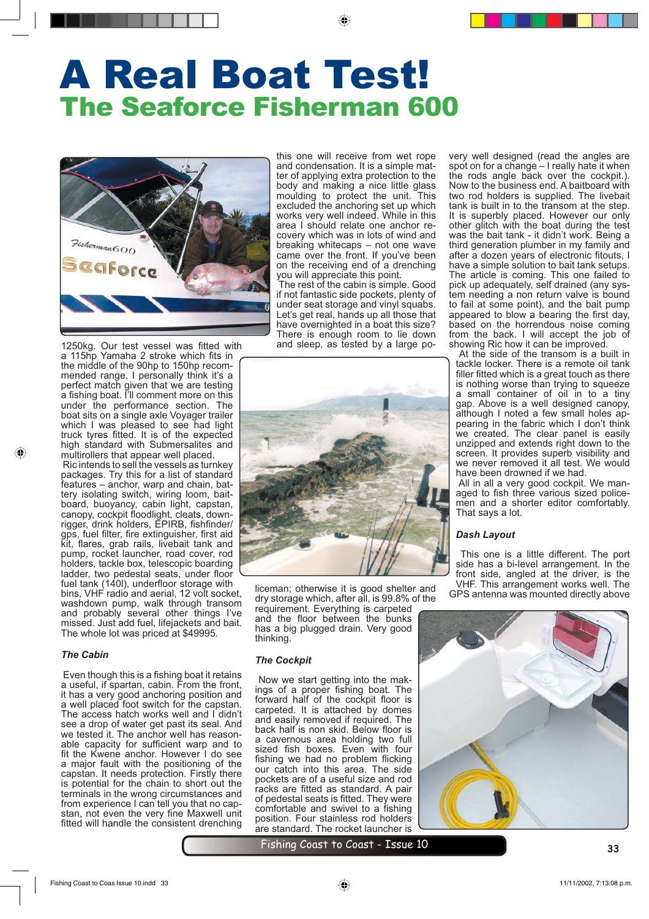◈

# The Seaforce Fisherman 600 A Real Boat Test!



1250kg. Our test vessel was fitted with a 115hp Yamaha 2 stroke which fits in the middle of the 90hp to 150hp recommended range. I personally think it's a perfect match given that we are testing a fishing boat. I'll comment more on this under the performance section. The boat sits on a single axle Voyager trailer which I was pleased to see had light truck tyres fitted. It is of the expected high standard with Submersalites and multirollers that appear well placed.

 Ric intends to sell the vessels as turnkey packages. Try this for a list of standard features – anchor, warp and chain, battery isolating switch, wiring loom, baitboard, buoyancy, cabin light, capstan, canopy, cockpit floodlight, cleats, downrigger, drink holders, EPIRB, fishfinder/ gps, fuel filter, fire extinguisher, first aid kit, flares, grab rails, livebait tank and pump, rocket launcher, road cover, rod holders, tackle box, telescopic boarding ladder, two pedestal seats, under floor

fuel tank (140l), underfloor storage with bins, VHF radio and aerial, 12 volt socket, washdown pump, walk through transom and probably several other things I've missed. Just add fuel, lifejackets and bait. The whole lot was priced at \$49995.

#### *The Cabin*

◈

Even though this is a fishing boat it retains a useful, if spartan, cabin. From the front, it has a very good anchoring position and a well placed foot switch for the capstan. The access hatch works well and I didn't see a drop of water get past its seal. And we tested it. The anchor well has reasonable capacity for sufficient warp and to fit the Kwene anchor. However I do see a major fault with the positioning of the capstan. It needs protection. Firstly there is potential for the chain to short out the terminals in the wrong circumstances and from experience I can tell you that no capstan, not even the very fine Maxwell unit fitted will handle the consistent drenching

this one will receive from wet rope and condensation. It is a simple matter of applying extra protection to the body and making a nice little glass moulding to protect the unit. This excluded the anchoring set up which works very well indeed. While in this area I should relate one anchor recovery which was in lots of wind and breaking whitecaps – not one wave came over the front. If you've been on the receiving end of a drenching you will appreciate this point.

 The rest of the cabin is simple. Good if not fantastic side pockets, plenty of under seat storage and vinyl squabs. Let's get real, hands up all those that have overnighted in a boat this size? There is enough room to lie down and sleep, as tested by a large po-



liceman; otherwise it is good shelter and dry storage which, after all, is 99.8% of the requirement. Everything is carpeted and the floor between the bunks has a big plugged drain. Very good thinking.

#### *The Cockpit*

 Now we start getting into the makings of a proper fishing boat. The forward half of the cockpit floor is carpeted. It is attached by domes and easily removed if required. The back half is non skid. Below floor is a cavernous area holding two full sized fish boxes. Even with four fishing we had no problem flicking our catch into this area. The side pockets are of a useful size and rod racks are fitted as standard. A pair of pedestal seats is fitted. They were comfortable and swivel to a fishing position. Four stainless rod holders are standard. The rocket launcher is

very well designed (read the angles are spot on for a change – I really hate it when the rods angle back over the cockpit.). Now to the business end. A baitboard with two rod holders is supplied. The livebait tank is built in to the transom at the step. It is superbly placed. However our only other glitch with the boat during the test was the bait tank - it didn't work. Being a third generation plumber in my family and after a dozen years of electronic fitouts, I have a simple solution to bait tank setups. The article is coming. This one failed to pick up adequately, self drained (any system needing a non return valve is bound to fail at some point), and the bait pump appeared to blow a bearing the first day, based on the horrendous noise coming from the back. I will accept the job of showing Ric how it can be improved.

 At the side of the transom is a built in tackle locker. There is a remote oil tank filler fitted which is a great touch as there is nothing worse than trying to squeeze a small container of oil in to a tiny gap. Above is a well designed canopy, although I noted a few small holes appearing in the fabric which I don't think we created. The clear panel is easily unzipped and extends right down to the screen. It provides superb visibility and we never removed it all test. We would have been drowned if we had.

 All in all a very good cockpit. We managed to fish three various sized policemen and a shorter editor comfortably. That says a lot.

#### *Dash Layout*

 This one is a little different. The port side has a bi-level arrangement. In the front side, angled at the driver, is the VHF. This arrangement works well. The GPS antenna was mounted directly above



Fishing Coast to Coast - Issue 10 **<sup>33</sup>**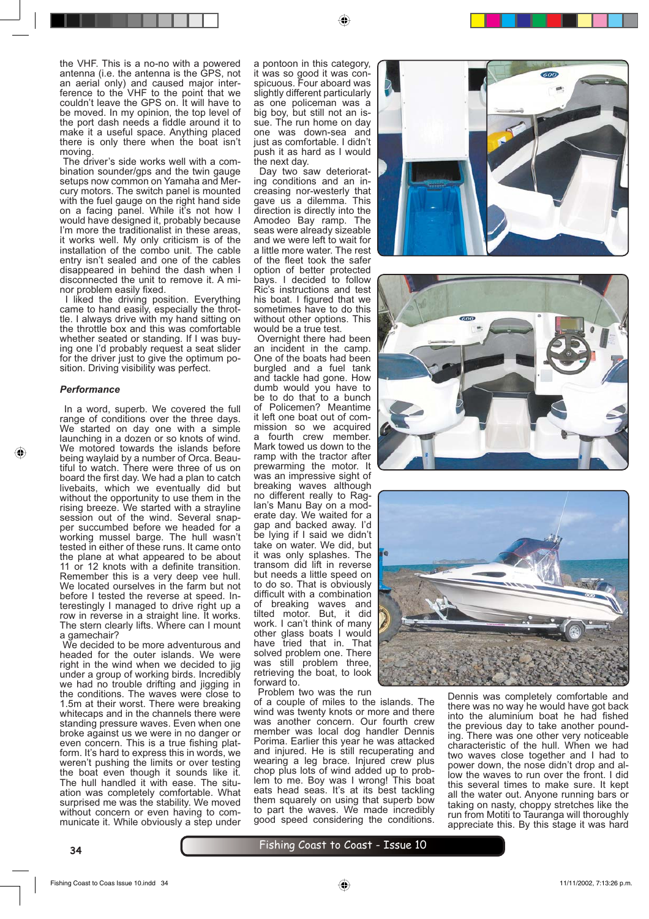the VHF. This is a no-no with a powered antenna (i.e. the antenna is the GPS, not an aerial only) and caused major interference to the VHF to the point that we couldn't leave the GPS on. It will have to be moved. In my opinion, the top level of the port dash needs a fiddle around it to make it a useful space. Anything placed there is only there when the boat isn't moving.

The driver's side works well with a combination sounder/gps and the twin gauge setups now common on Yamaha and Mercury motors. The switch panel is mounted with the fuel gauge on the right hand side on a facing panel. While it's not how I would have designed it, probably because I'm more the traditionalist in these areas, it works well. My only criticism is of the installation of the combo unit. The cable entry isn't sealed and one of the cables disappeared in behind the dash when I disconnected the unit to remove it. A minor problem easily fixed.

 I liked the driving position. Everything came to hand easily, especially the throttle. I always drive with my hand sitting on the throttle box and this was comfortable whether seated or standing. If I was buying one I'd probably request a seat slider for the driver just to give the optimum position. Driving visibility was perfect.

#### *Performance*

⊕

 In a word, superb. We covered the full range of conditions over the three days. We started on day one with a simple launching in a dozen or so knots of wind. We motored towards the islands before being waylaid by a number of Orca. Beautiful to watch. There were three of us on board the first day. We had a plan to catch livebaits, which we eventually did but without the opportunity to use them in the rising breeze. We started with a strayline session out of the wind. Several snapper succumbed before we headed for a working mussel barge. The hull wasn't tested in either of these runs. It came onto the plane at what appeared to be about 11 or 12 knots with a definite transition. Remember this is a very deep vee hull. We located ourselves in the farm but not before I tested the reverse at speed. Interestingly I managed to drive right up a row in reverse in a straight line. It works. The stern clearly lifts. Where can I mount a gamechair?

 We decided to be more adventurous and headed for the outer islands. We were right in the wind when we decided to jight under a group of working birds. Incredibly we had no trouble drifting and jigging in the conditions. The waves were close to 1.5m at their worst. There were breaking whitecaps and in the channels there were standing pressure waves. Even when one broke against us we were in no danger or even concern. This is a true fishing platform. It's hard to express this in words, we weren't pushing the limits or over testing the boat even though it sounds like it. The hull handled it with ease. The situation was completely comfortable. What surprised me was the stability. We moved without concern or even having to communicate it. While obviously a step under

a pontoon in this category, it was so good it was conspicuous. Four aboard was slightly different particularly as one policeman was a big boy, but still not an issue. The run home on day one was down-sea and just as comfortable. I didn't push it as hard as I would the next day.

◈

Day two saw deteriorating conditions and an increasing nor-westerly that gave us a dilemma. This direction is directly into the Amodeo Bay ramp. The seas were already sizeable and we were left to wait for a little more water. The rest of the fleet took the safer option of better protected bays. I decided to follow Ric's instructions and test his boat. I figured that we sometimes have to do this without other options. This would be a true test.

 Overnight there had been an incident in the camp. One of the boats had been burgled and a fuel tank and tackle had gone. How dumb would you have to be to do that to a bunch of Policemen? Meantime it left one boat out of commission so we acquired a fourth crew member. Mark towed us down to the ramp with the tractor after prewarming the motor. It was an impressive sight of breaking waves although no different really to Raglan's Manu Bay on a moderate day. We waited for a gap and backed away. I'd be lying if I said we didn't take on water. We did, but it was only splashes. The transom did lift in reverse but needs a little speed on to do so. That is obviously difficult with a combination of breaking waves and tilted motor. But, it did work. I can't think of many other glass boats I would have tried that in. That solved problem one. There was still problem three, retrieving the boat, to look forward to.

Problem two was the run

of a couple of miles to the islands. The wind was twenty knots or more and there was another concern. Our fourth crew member was local dog handler Dennis Porima. Earlier this year he was attacked and injured. He is still recuperating and wearing a leg brace. Injured crew plus chop plus lots of wind added up to problem to me. Boy was I wrong! This boat eats head seas. It's at its best tackling them squarely on using that superb bow to part the waves. We made incredibly good speed considering the conditions.







Dennis was completely comfortable and there was no way he would have got back into the aluminium boat he had fished the previous day to take another pounding. There was one other very noticeable characteristic of the hull. When we had two waves close together and I had to power down, the nose didn't drop and allow the waves to run over the front. I did this several times to make sure. It kept all the water out. Anyone running bars or taking on nasty, choppy stretches like the run from Motiti to Tauranga will thoroughly appreciate this. By this stage it was hard